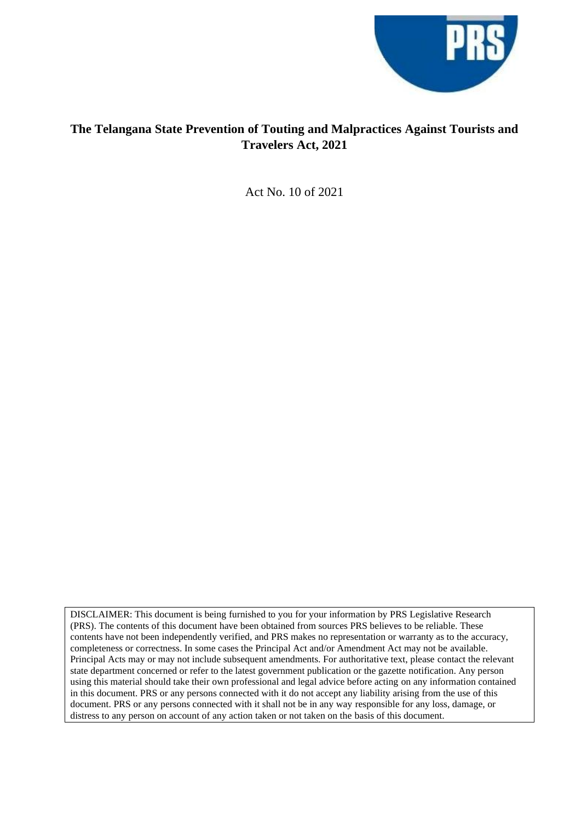

#### **The Telangana State Prevention of Touting and Malpractices Against Tourists and Travelers Act, 2021**

Act No. 10 of 2021

DISCLAIMER: This document is being furnished to you for your information by PRS Legislative Research (PRS). The contents of this document have been obtained from sources PRS believes to be reliable. These contents have not been independently verified, and PRS makes no representation or warranty as to the accuracy, completeness or correctness. In some cases the Principal Act and/or Amendment Act may not be available. Principal Acts may or may not include subsequent amendments. For authoritative text, please contact the relevant state department concerned or refer to the latest government publication or the gazette notification. Any person using this material should take their own professional and legal advice before acting on any information contained in this document. PRS or any persons connected with it do not accept any liability arising from the use of this document. PRS or any persons connected with it shall not be in any way responsible for any loss, damage, or distress to any person on account of any action taken or not taken on the basis of this document.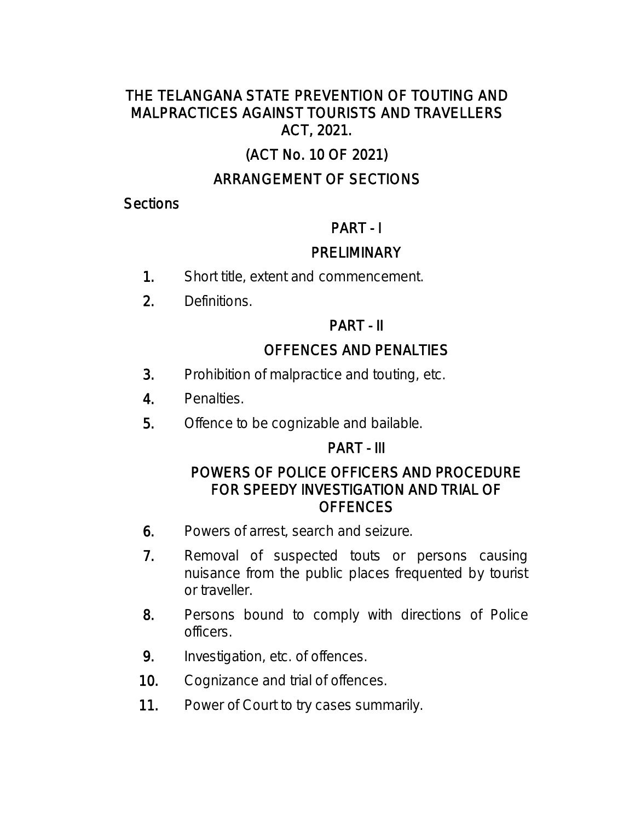### THE TELANGANA STATE PREVENTION OF TOUTING AND MALPRACTICES AGAINST TOURISTS AND TRAVELLERS ACT, 2021.

# (ACT No. 10 OF 2021)

## ARRANGEMENT OF SECTIONS

#### **Sections**

## PART - I

### **PRELIMINARY**

- 1. Short title, extent and commencement.
- 2. Definitions.

## PART - II

## OFFENCES AND PENALTIES

- 3. Prohibition of malpractice and touting, etc.
- 4. Penalties.
- 5. Offence to be cognizable and bailable.

### PART - III

### POWERS OF POLICE OFFICERS AND PROCEDURE FOR SPEEDY INVESTIGATION AND TRIAL OF **OFFENCES**

- 6. Powers of arrest, search and seizure.
- 7. Removal of suspected touts or persons causing nuisance from the public places frequented by tourist or traveller.
- 8. Persons bound to comply with directions of Police officers.
- 9. Investigation, etc. of offences.
- 10. Cognizance and trial of offences.
- 11. Power of Court to try cases summarily.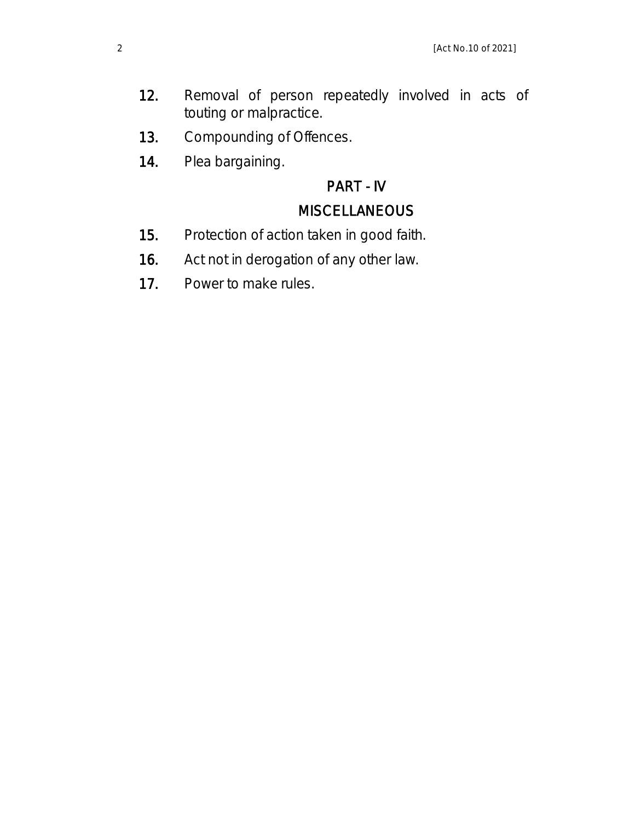- 12. Removal of person repeatedly involved in acts of touting or malpractice.
- 13. Compounding of Offences.
- 14. Plea bargaining.

## PART - IV

## **MISCELLANEOUS**

- 15. Protection of action taken in good faith.
- 16. Act not in derogation of any other law.
- 17. Power to make rules.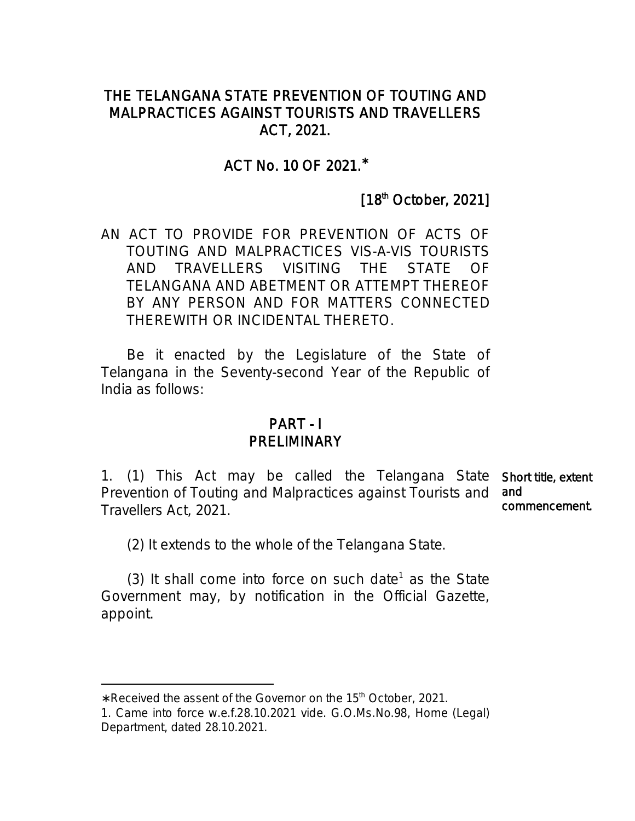#### THE TELANGANA STATE PREVENTION OF TOUTING AND MALPRACTICES AGAINST TOURISTS AND TRAVELLERS ACT, 2021.

### ACT No. 10 OF 2021.\*

## [18<sup>th</sup> October, 2021]

AN ACT TO PROVIDE FOR PREVENTION OF ACTS OF TOUTING AND MALPRACTICES VIS-A-VIS TOURISTS AND TRAVELLERS VISITING THE STATE OF TELANGANA AND ABETMENT OR ATTEMPT THEREOF BY ANY PERSON AND FOR MATTERS CONNECTED THEREWITH OR INCIDENTAL THERETO.

 Be it enacted by the Legislature of the State of Telangana in the Seventy-second Year of the Republic of India as follows:

#### PART - I PRELIMINARY

1. (1) This Act may be called the Telangana State Short title, extent Prevention of Touting and Malpractices against Tourists and and Travellers Act, 2021. commencement.

(2) It extends to the whole of the Telangana State.

(3) It shall come into force on such date<sup>1</sup> as the State Government may, by notification in the Official Gazette, appoint.

<sup>\*</sup> Received the assent of the Governor on the 15<sup>th</sup> October, 2021.

<sup>1.</sup> Came into force w.e.f.28.10.2021 vide. G.O.Ms.No.98, Home (Legal) Department, dated 28.10.2021.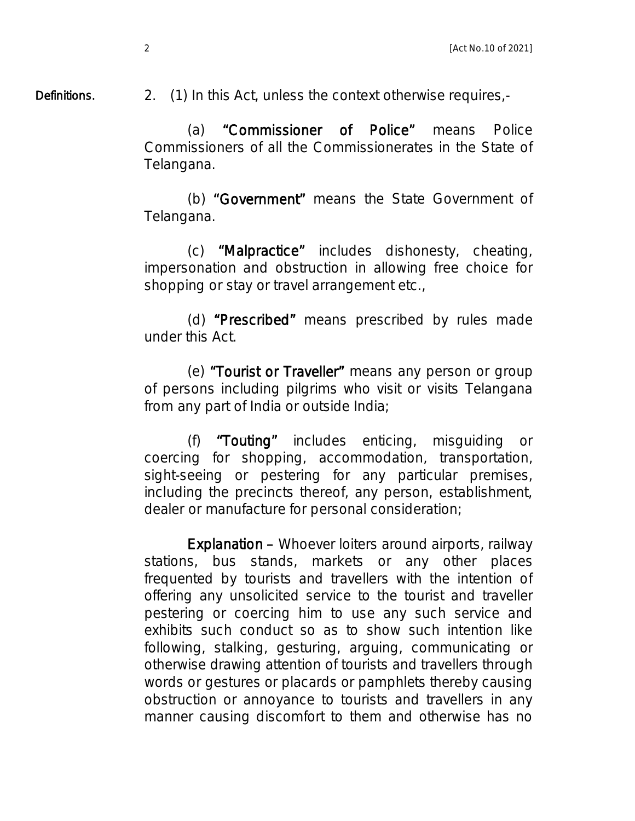Definitions.

2. (1) In this Act, unless the context otherwise requires,-

 (a) "Commissioner of Police" means Police Commissioners of all the Commissionerates in the State of Telangana.

 (b) "Government" means the State Government of Telangana.

 (c) "Malpractice" includes dishonesty, cheating, impersonation and obstruction in allowing free choice for shopping or stay or travel arrangement etc.,

 (d) "Prescribed" means prescribed by rules made under this Act.

 (e) "Tourist or Traveller" means any person or group of persons including pilgrims who visit or visits Telangana from any part of India or outside India;

 (f) "Touting" includes enticing, misguiding or coercing for shopping, accommodation, transportation, sight-seeing or pestering for any particular premises, including the precincts thereof, any person, establishment, dealer or manufacture for personal consideration;

Explanation – Whoever loiters around airports, railway stations, bus stands, markets or any other places frequented by tourists and travellers with the intention of offering any unsolicited service to the tourist and traveller pestering or coercing him to use any such service and exhibits such conduct so as to show such intention like following, stalking, gesturing, arguing, communicating or otherwise drawing attention of tourists and travellers through words or gestures or placards or pamphlets thereby causing obstruction or annoyance to tourists and travellers in any manner causing discomfort to them and otherwise has no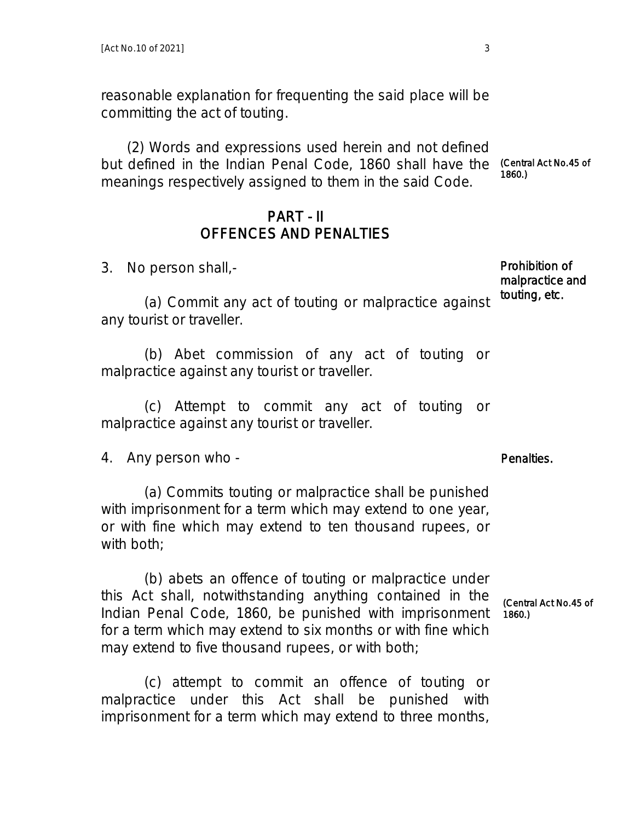reasonable explanation for frequenting the said place will be committing the act of touting.

 (2) Words and expressions used herein and not defined but defined in the Indian Penal Code, 1860 shall have the meanings respectively assigned to them in the said Code. 1860.)

#### PART - II OFFENCES AND PENALTIES

3. No person shall,-

 (a) Commit any act of touting or malpractice against any tourist or traveller.

 (b) Abet commission of any act of touting or malpractice against any tourist or traveller.

 (c) Attempt to commit any act of touting or malpractice against any tourist or traveller.

4. Any person who -

 (a) Commits touting or malpractice shall be punished with imprisonment for a term which may extend to one year, or with fine which may extend to ten thousand rupees, or with both;

 (b) abets an offence of touting or malpractice under this Act shall, notwithstanding anything contained in the Indian Penal Code, 1860, be punished with imprisonment for a term which may extend to six months or with fine which may extend to five thousand rupees, or with both;

 (c) attempt to commit an offence of touting or malpractice under this Act shall be punished with imprisonment for a term which may extend to three months, (Central Act No.45 of 1860.)

Prohibition of malpractice and touting, etc.

Penalties.

(Central Act No.45 of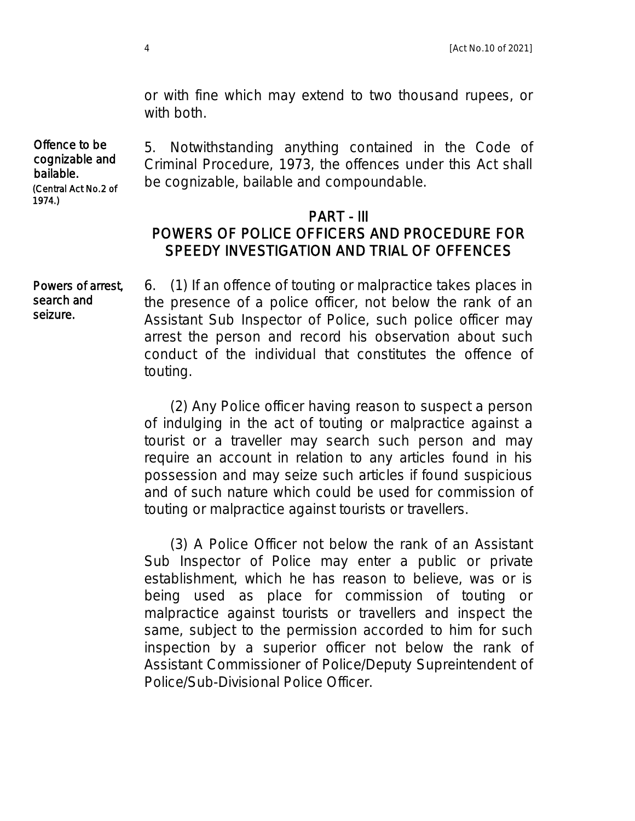or with fine which may extend to two thousand rupees, or with both.

Offence to be cognizable and bailable. (Central Act No.2 of 1974.)

seizure.

5. Notwithstanding anything contained in the Code of Criminal Procedure, 1973, the offences under this Act shall be cognizable, bailable and compoundable.

#### PART - III POWERS OF POLICE OFFICERS AND PROCEDURE FOR SPEEDY INVESTIGATION AND TRIAL OF OFFENCES

6. (1) If an offence of touting or malpractice takes places in the presence of a police officer, not below the rank of an Assistant Sub Inspector of Police, such police officer may arrest the person and record his observation about such conduct of the individual that constitutes the offence of touting. Powers of arrest, search and

> (2) Any Police officer having reason to suspect a person of indulging in the act of touting or malpractice against a tourist or a traveller may search such person and may require an account in relation to any articles found in his possession and may seize such articles if found suspicious and of such nature which could be used for commission of touting or malpractice against tourists or travellers.

> (3) A Police Officer not below the rank of an Assistant Sub Inspector of Police may enter a public or private establishment, which he has reason to believe, was or is being used as place for commission of touting or malpractice against tourists or travellers and inspect the same, subject to the permission accorded to him for such inspection by a superior officer not below the rank of Assistant Commissioner of Police/Deputy Supreintendent of Police/Sub-Divisional Police Officer.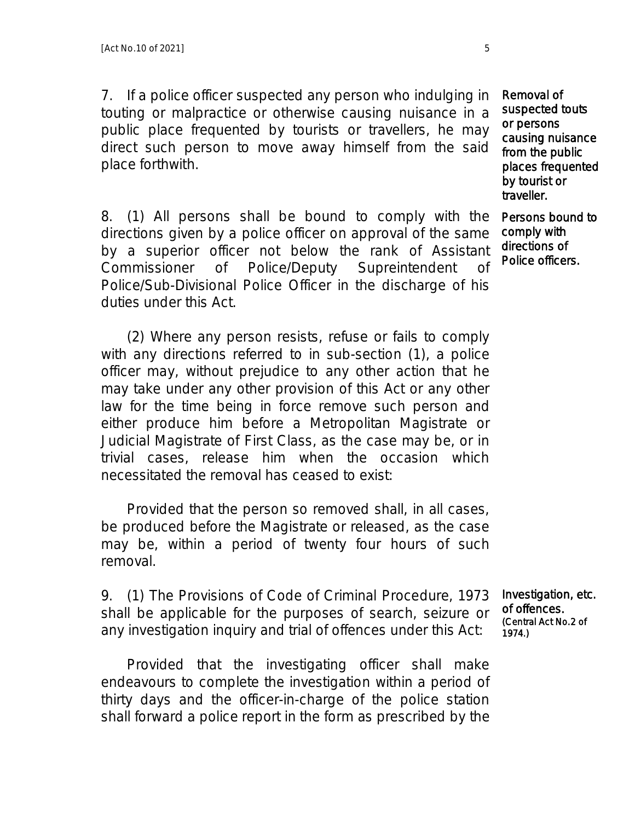7. If a police officer suspected any person who indulging in touting or malpractice or otherwise causing nuisance in a public place frequented by tourists or travellers, he may direct such person to move away himself from the said place forthwith.

8. (1) All persons shall be bound to comply with the directions given by a police officer on approval of the same by a superior officer not below the rank of Assistant Commissioner of Police/Deputy Supreintendent of Police/Sub-Divisional Police Officer in the discharge of his duties under this Act.

 (2) Where any person resists, refuse or fails to comply with any directions referred to in sub-section (1), a police officer may, without prejudice to any other action that he may take under any other provision of this Act or any other law for the time being in force remove such person and either produce him before a Metropolitan Magistrate or Judicial Magistrate of First Class, as the case may be, or in trivial cases, release him when the occasion which necessitated the removal has ceased to exist:

 Provided that the person so removed shall, in all cases, be produced before the Magistrate or released, as the case may be, within a period of twenty four hours of such removal.

9. (1) The Provisions of Code of Criminal Procedure, 1973 shall be applicable for the purposes of search, seizure or any investigation inquiry and trial of offences under this Act:

 Provided that the investigating officer shall make endeavours to complete the investigation within a period of thirty days and the officer-in-charge of the police station shall forward a police report in the form as prescribed by the

Removal of suspected touts or persons causing nuisance from the public places frequented by tourist or traveller.

Persons bound to comply with directions of Police officers.

Investigation, etc. of offences. (Central Act No.2 of 1974.)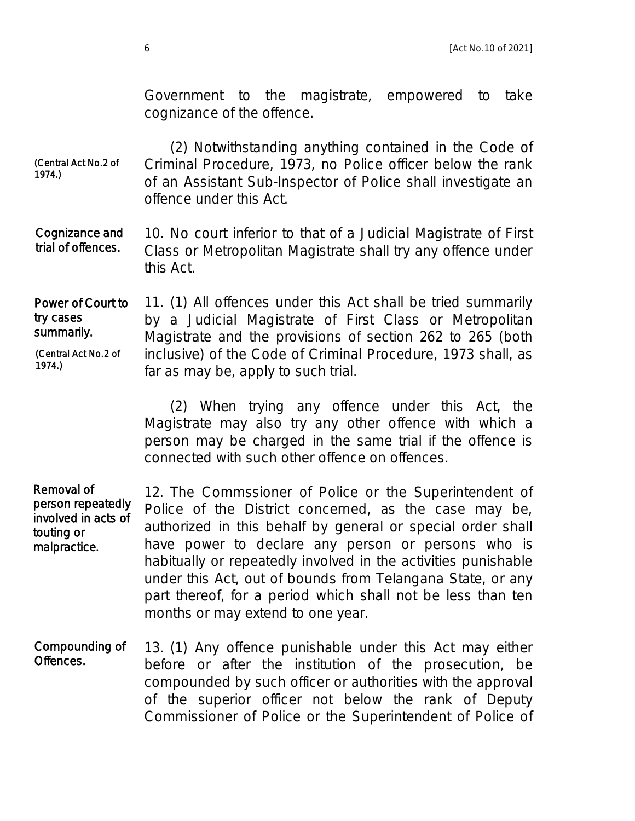Government to the magistrate, empowered to take cognizance of the offence.

 (2) Notwithstanding anything contained in the Code of Criminal Procedure, 1973, no Police officer below the rank of an Assistant Sub-Inspector of Police shall investigate an offence under this Act. (Central Act No.2 of 1974.)

10. No court inferior to that of a Judicial Magistrate of First Class or Metropolitan Magistrate shall try any offence under this Act. Cognizance and trial of offences.

11. (1) All offences under this Act shall be tried summarily by a Judicial Magistrate of First Class or Metropolitan Magistrate and the provisions of section 262 to 265 (both inclusive) of the Code of Criminal Procedure, 1973 shall, as far as may be, apply to such trial. Power of Court to try cases summarily. (Central Act No.2 of 1974.)

> (2) When trying any offence under this Act, the Magistrate may also try any other offence with which a person may be charged in the same trial if the offence is connected with such other offence on offences.

12. The Commssioner of Police or the Superintendent of Police of the District concerned, as the case may be, authorized in this behalf by general or special order shall have power to declare any person or persons who is habitually or repeatedly involved in the activities punishable under this Act, out of bounds from Telangana State, or any part thereof, for a period which shall not be less than ten months or may extend to one year. Removal of person repeatedly involved in acts of touting or malpractice.

13. (1) Any offence punishable under this Act may either before or after the institution of the prosecution, be compounded by such officer or authorities with the approval of the superior officer not below the rank of Deputy Commissioner of Police or the Superintendent of Police of Compounding of Offences.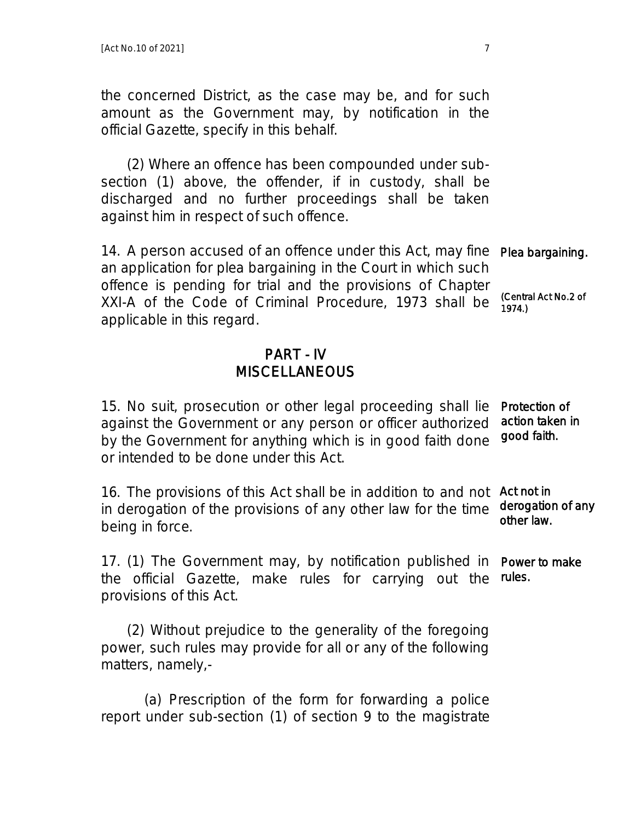the concerned District, as the case may be, and for such amount as the Government may, by notification in the official Gazette, specify in this behalf.

 (2) Where an offence has been compounded under subsection (1) above, the offender, if in custody, shall be discharged and no further proceedings shall be taken against him in respect of such offence.

14. A person accused of an offence under this Act, may fine an application for plea bargaining in the Court in which such offence is pending for trial and the provisions of Chapter XXI-A of the Code of Criminal Procedure, 1973 shall be applicable in this regard. Plea bargaining. (Central Act No.2 of 1974.)

### PART - IV **MISCELLANEOUS**

15. No suit, prosecution or other legal proceeding shall lie against the Government or any person or officer authorized by the Government for anything which is in good faith done or intended to be done under this Act. Protection of action taken in good faith.

16. The provisions of this Act shall be in addition to and not Act not in in derogation of the provisions of any other law for the time being in force. derogation of any other law.

17. (1) The Government may, by notification published in Power to make the official Gazette, make rules for carrying out the rules. provisions of this Act.

 (2) Without prejudice to the generality of the foregoing power, such rules may provide for all or any of the following matters, namely,-

 (a) Prescription of the form for forwarding a police report under sub-section (1) of section 9 to the magistrate